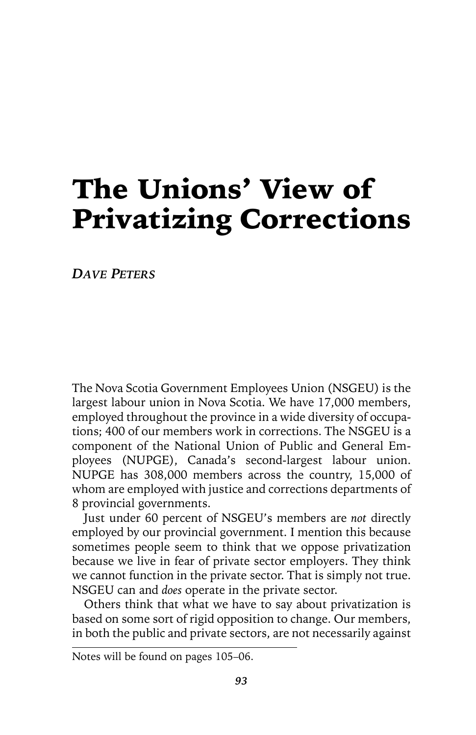# The Unions' View of Privatizing Corrections

*DAVE PETERS*

The Nova Scotia Government Employees Union (NSGEU) is the largest labour union in Nova Scotia. We have 17,000 members, employed throughout the province in a wide diversity of occupations; 400 of our members work in corrections. The NSGEU is a component of the National Union of Public and General Employees (NUPGE), Canada's second-largest labour union. NUPGE has 308,000 members across the country, 15,000 of whom are employed with justice and corrections departments of 8 provincial governments.

Just under 60 percent of NSGEU's members are *not* directly employed by our provincial government. I mention this because sometimes people seem to think that we oppose privatization because we live in fear of private sector employers. They think we cannot function in the private sector. That is simply not true. NSGEU can and *does* operate in the private sector.

Others think that what we have to say about privatization is based on some sort of rigid opposition to change. Our members, in both the public and private sectors, are not necessarily against

Notes will be found on pages 105–06.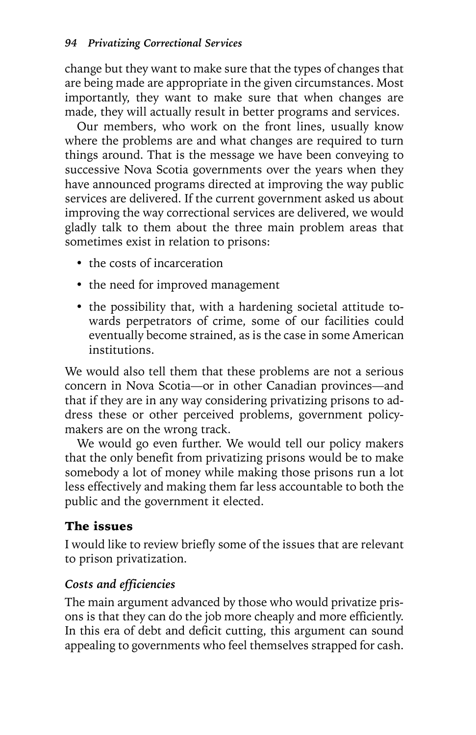change but they want to make sure that the types of changes that are being made are appropriate in the given circumstances. Most importantly, they want to make sure that when changes are made, they will actually result in better programs and services.

Our members, who work on the front lines, usually know where the problems are and what changes are required to turn things around. That is the message we have been conveying to successive Nova Scotia governments over the years when they have announced programs directed at improving the way public services are delivered. If the current government asked us about improving the way correctional services are delivered, we would gladly talk to them about the three main problem areas that sometimes exist in relation to prisons:

- the costs of incarceration
- the need for improved management
- the possibility that, with a hardening societal attitude towards perpetrators of crime, some of our facilities could eventually become strained, as is the case in some American institutions.

We would also tell them that these problems are not a serious concern in Nova Scotia—or in other Canadian provinces—and that if they are in any way considering privatizing prisons to address these or other perceived problems, government policymakers are on the wrong track.

We would go even further. We would tell our policy makers that the only benefit from privatizing prisons would be to make somebody a lot of money while making those prisons run a lot less effectively and making them far less accountable to both the public and the government it elected.

#### The issues

I would like to review briefly some of the issues that are relevant to prison privatization.

#### *Costs and efficiencies*

The main argument advanced by those who would privatize prisons is that they can do the job more cheaply and more efficiently. In this era of debt and deficit cutting, this argument can sound appealing to governments who feel themselves strapped for cash.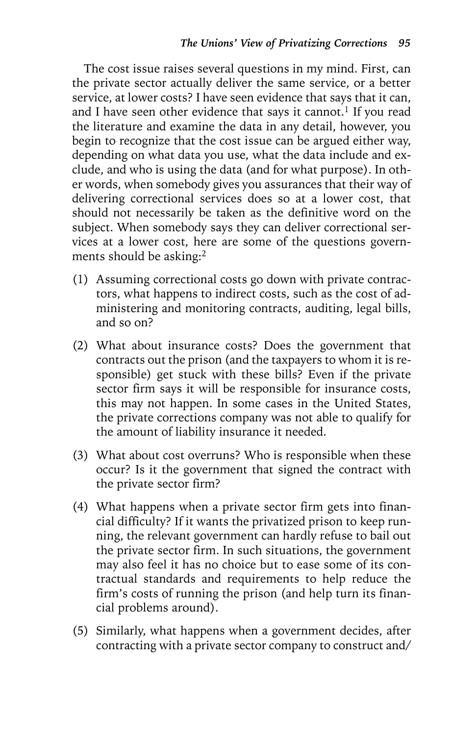The cost issue raises several questions in my mind. First, can the private sector actually deliver the same service, or a better service, at lower costs? I have seen evidence that says that it can, and I have seen other evidence that says it cannot.<sup>1</sup> If you read the literature and examine the data in any detail, however, you begin to recognize that the cost issue can be argued either way, depending on what data you use, what the data include and exclude, and who is using the data (and for what purpose). In other words, when somebody gives you assurances that their way of delivering correctional services does so at a lower cost, that should not necessarily be taken as the definitive word on the subject. When somebody says they can deliver correctional services at a lower cost, here are some of the questions governments should be asking:<sup>2</sup>

- (1) Assuming correctional costs go down with private contractors, what happens to indirect costs, such as the cost of administering and monitoring contracts, auditing, legal bills, and so on?
- (2) What about insurance costs? Does the government that contracts out the prison (and the taxpayers to whom it is responsible) get stuck with these bills? Even if the private sector firm says it will be responsible for insurance costs, this may not happen. In some cases in the United States, the private corrections company was not able to qualify for the amount of liability insurance it needed.
- (3) What about cost overruns? Who is responsible when these occur? Is it the government that signed the contract with the private sector firm?
- (4) What happens when a private sector firm gets into financial difficulty? If it wants the privatized prison to keep running, the relevant government can hardly refuse to bail out the private sector firm. In such situations, the government may also feel it has no choice but to ease some of its contractual standards and requirements to help reduce the firm's costs of running the prison (and help turn its financial problems around).
- (5) Similarly, what happens when a government decides, after contracting with a private sector company to construct and/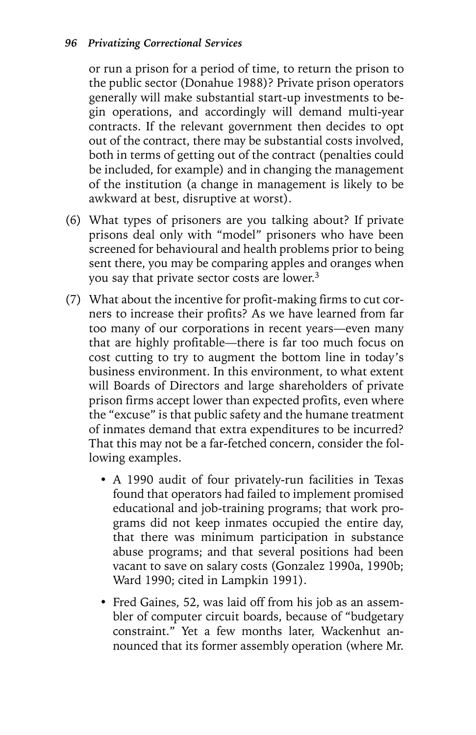or run a prison for a period of time, to return the prison to the public sector (Donahue 1988)? Private prison operators generally will make substantial start-up investments to begin operations, and accordingly will demand multi-year contracts. If the relevant government then decides to opt out of the contract, there may be substantial costs involved, both in terms of getting out of the contract (penalties could be included, for example) and in changing the management of the institution (a change in management is likely to be awkward at best, disruptive at worst).

- (6) What types of prisoners are you talking about? If private prisons deal only with "model" prisoners who have been screened for behavioural and health problems prior to being sent there, you may be comparing apples and oranges when you say that private sector costs are lower.3
- (7) What about the incentive for profit-making firms to cut corners to increase their profits? As we have learned from far too many of our corporations in recent years—even many that are highly profitable—there is far too much focus on cost cutting to try to augment the bottom line in today's business environment. In this environment, to what extent will Boards of Directors and large shareholders of private prison firms accept lower than expected profits, even where the "excuse" is that public safety and the humane treatment of inmates demand that extra expenditures to be incurred? That this may not be a far-fetched concern, consider the following examples.
	- A 1990 audit of four privately-run facilities in Texas found that operators had failed to implement promised educational and job-training programs; that work programs did not keep inmates occupied the entire day, that there was minimum participation in substance abuse programs; and that several positions had been vacant to save on salary costs (Gonzalez 1990a, 1990b; Ward 1990; cited in Lampkin 1991).
	- Fred Gaines, 52, was laid off from his job as an assembler of computer circuit boards, because of "budgetary constraint." Yet a few months later, Wackenhut announced that its former assembly operation (where Mr.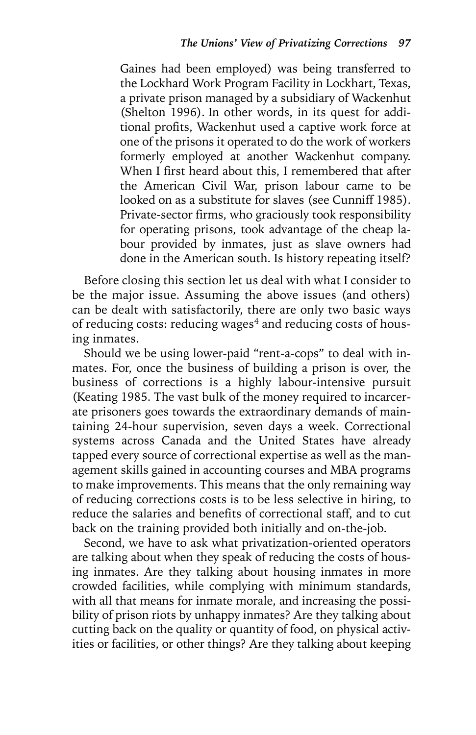Gaines had been employed) was being transferred to the Lockhard Work Program Facility in Lockhart, Texas, a private prison managed by a subsidiary of Wackenhut (Shelton 1996). In other words, in its quest for additional profits, Wackenhut used a captive work force at one of the prisons it operated to do the work of workers formerly employed at another Wackenhut company. When I first heard about this, I remembered that after the American Civil War, prison labour came to be looked on as a substitute for slaves (see Cunniff 1985). Private-sector firms, who graciously took responsibility for operating prisons, took advantage of the cheap labour provided by inmates, just as slave owners had done in the American south. Is history repeating itself?

Before closing this section let us deal with what I consider to be the major issue. Assuming the above issues (and others) can be dealt with satisfactorily, there are only two basic ways of reducing costs: reducing wages<sup>4</sup> and reducing costs of housing inmates.

Should we be using lower-paid "rent-a-cops" to deal with inmates. For, once the business of building a prison is over, the business of corrections is a highly labour-intensive pursuit (Keating 1985. The vast bulk of the money required to incarcerate prisoners goes towards the extraordinary demands of maintaining 24-hour supervision, seven days a week. Correctional systems across Canada and the United States have already tapped every source of correctional expertise as well as the management skills gained in accounting courses and MBA programs to make improvements. This means that the only remaining way of reducing corrections costs is to be less selective in hiring, to reduce the salaries and benefits of correctional staff, and to cut back on the training provided both initially and on-the-job.

Second, we have to ask what privatization-oriented operators are talking about when they speak of reducing the costs of housing inmates. Are they talking about housing inmates in more crowded facilities, while complying with minimum standards, with all that means for inmate morale, and increasing the possibility of prison riots by unhappy inmates? Are they talking about cutting back on the quality or quantity of food, on physical activities or facilities, or other things? Are they talking about keeping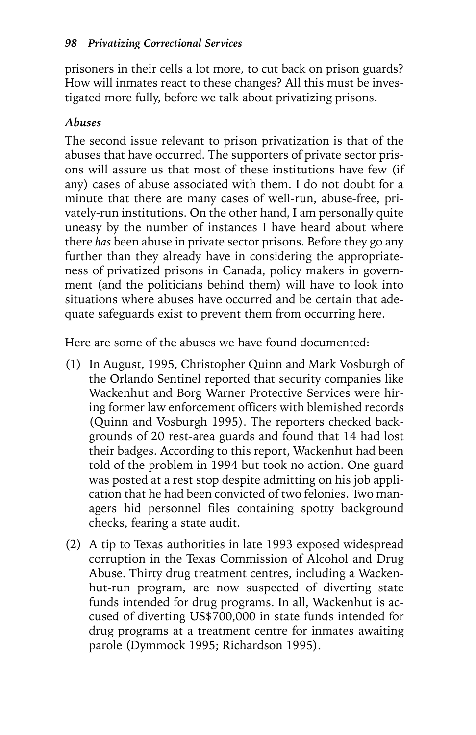prisoners in their cells a lot more, to cut back on prison guards? How will inmates react to these changes? All this must be investigated more fully, before we talk about privatizing prisons.

#### *Abuses*

The second issue relevant to prison privatization is that of the abuses that have occurred. The supporters of private sector prisons will assure us that most of these institutions have few (if any) cases of abuse associated with them. I do not doubt for a minute that there are many cases of well-run, abuse-free, privately-run institutions. On the other hand, I am personally quite uneasy by the number of instances I have heard about where there *has* been abuse in private sector prisons. Before they go any further than they already have in considering the appropriateness of privatized prisons in Canada, policy makers in government (and the politicians behind them) will have to look into situations where abuses have occurred and be certain that adequate safeguards exist to prevent them from occurring here.

Here are some of the abuses we have found documented:

- (1) In August, 1995, Christopher Quinn and Mark Vosburgh of the Orlando Sentinel reported that security companies like Wackenhut and Borg Warner Protective Services were hiring former law enforcement officers with blemished records (Quinn and Vosburgh 1995). The reporters checked backgrounds of 20 rest-area guards and found that 14 had lost their badges. According to this report, Wackenhut had been told of the problem in 1994 but took no action. One guard was posted at a rest stop despite admitting on his job application that he had been convicted of two felonies. Two managers hid personnel files containing spotty background checks, fearing a state audit.
- (2) A tip to Texas authorities in late 1993 exposed widespread corruption in the Texas Commission of Alcohol and Drug Abuse. Thirty drug treatment centres, including a Wackenhut-run program, are now suspected of diverting state funds intended for drug programs. In all, Wackenhut is accused of diverting US\$700,000 in state funds intended for drug programs at a treatment centre for inmates awaiting parole (Dymmock 1995; Richardson 1995).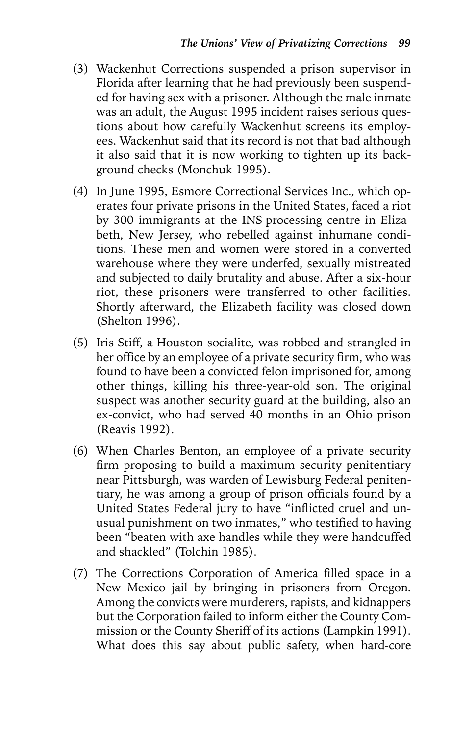- (3) Wackenhut Corrections suspended a prison supervisor in Florida after learning that he had previously been suspended for having sex with a prisoner. Although the male inmate was an adult, the August 1995 incident raises serious questions about how carefully Wackenhut screens its employees. Wackenhut said that its record is not that bad although it also said that it is now working to tighten up its background checks (Monchuk 1995).
- (4) In June 1995, Esmore Correctional Services Inc., which operates four private prisons in the United States, faced a riot by 300 immigrants at the INS processing centre in Elizabeth, New Jersey, who rebelled against inhumane conditions. These men and women were stored in a converted warehouse where they were underfed, sexually mistreated and subjected to daily brutality and abuse. After a six-hour riot, these prisoners were transferred to other facilities. Shortly afterward, the Elizabeth facility was closed down (Shelton 1996).
- (5) Iris Stiff, a Houston socialite, was robbed and strangled in her office by an employee of a private security firm, who was found to have been a convicted felon imprisoned for, among other things, killing his three-year-old son. The original suspect was another security guard at the building, also an ex-convict, who had served 40 months in an Ohio prison (Reavis 1992).
- (6) When Charles Benton, an employee of a private security firm proposing to build a maximum security penitentiary near Pittsburgh, was warden of Lewisburg Federal penitentiary, he was among a group of prison officials found by a United States Federal jury to have "inflicted cruel and unusual punishment on two inmates," who testified to having been "beaten with axe handles while they were handcuffed and shackled" (Tolchin 1985).
- (7) The Corrections Corporation of America filled space in a New Mexico jail by bringing in prisoners from Oregon. Among the convicts were murderers, rapists, and kidnappers but the Corporation failed to inform either the County Commission or the County Sheriff of its actions (Lampkin 1991). What does this say about public safety, when hard-core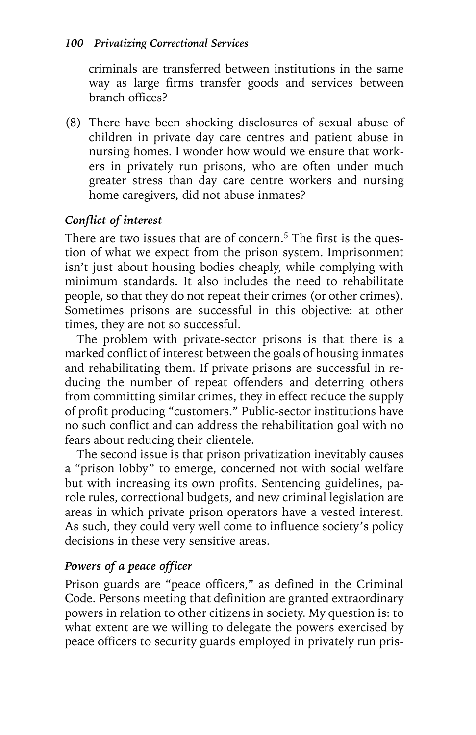criminals are transferred between institutions in the same way as large firms transfer goods and services between branch offices?

(8) There have been shocking disclosures of sexual abuse of children in private day care centres and patient abuse in nursing homes. I wonder how would we ensure that workers in privately run prisons, who are often under much greater stress than day care centre workers and nursing home caregivers, did not abuse inmates?

#### *Conflict of interest*

There are two issues that are of concern.<sup>5</sup> The first is the question of what we expect from the prison system. Imprisonment isn't just about housing bodies cheaply, while complying with minimum standards. It also includes the need to rehabilitate people, so that they do not repeat their crimes (or other crimes). Sometimes prisons are successful in this objective: at other times, they are not so successful.

The problem with private-sector prisons is that there is a marked conflict of interest between the goals of housing inmates and rehabilitating them. If private prisons are successful in reducing the number of repeat offenders and deterring others from committing similar crimes, they in effect reduce the supply of profit producing "customers." Public-sector institutions have no such conflict and can address the rehabilitation goal with no fears about reducing their clientele.

The second issue is that prison privatization inevitably causes a "prison lobby" to emerge, concerned not with social welfare but with increasing its own profits. Sentencing guidelines, parole rules, correctional budgets, and new criminal legislation are areas in which private prison operators have a vested interest. As such, they could very well come to influence society's policy decisions in these very sensitive areas.

#### *Powers of a peace officer*

Prison guards are "peace officers," as defined in the Criminal Code. Persons meeting that definition are granted extraordinary powers in relation to other citizens in society. My question is: to what extent are we willing to delegate the powers exercised by peace officers to security guards employed in privately run pris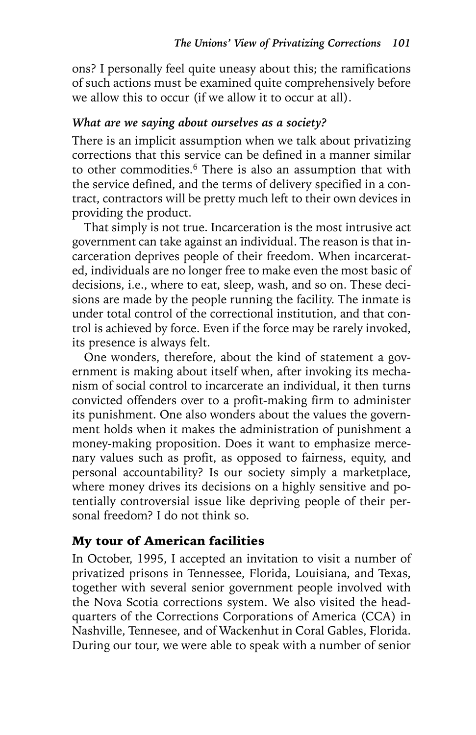ons? I personally feel quite uneasy about this; the ramifications of such actions must be examined quite comprehensively before we allow this to occur (if we allow it to occur at all).

#### *What are we saying about ourselves as a society?*

There is an implicit assumption when we talk about privatizing corrections that this service can be defined in a manner similar to other commodities.<sup>6</sup> There is also an assumption that with the service defined, and the terms of delivery specified in a contract, contractors will be pretty much left to their own devices in providing the product.

That simply is not true. Incarceration is the most intrusive act government can take against an individual. The reason is that incarceration deprives people of their freedom. When incarcerated, individuals are no longer free to make even the most basic of decisions, i.e., where to eat, sleep, wash, and so on. These decisions are made by the people running the facility. The inmate is under total control of the correctional institution, and that control is achieved by force. Even if the force may be rarely invoked, its presence is always felt.

One wonders, therefore, about the kind of statement a government is making about itself when, after invoking its mechanism of social control to incarcerate an individual, it then turns convicted offenders over to a profit-making firm to administer its punishment. One also wonders about the values the government holds when it makes the administration of punishment a money-making proposition. Does it want to emphasize mercenary values such as profit, as opposed to fairness, equity, and personal accountability? Is our society simply a marketplace, where money drives its decisions on a highly sensitive and potentially controversial issue like depriving people of their personal freedom? I do not think so.

#### My tour of American facilities

In October, 1995, I accepted an invitation to visit a number of privatized prisons in Tennessee, Florida, Louisiana, and Texas, together with several senior government people involved with the Nova Scotia corrections system. We also visited the headquarters of the Corrections Corporations of America (CCA) in Nashville, Tennesee, and of Wackenhut in Coral Gables, Florida. During our tour, we were able to speak with a number of senior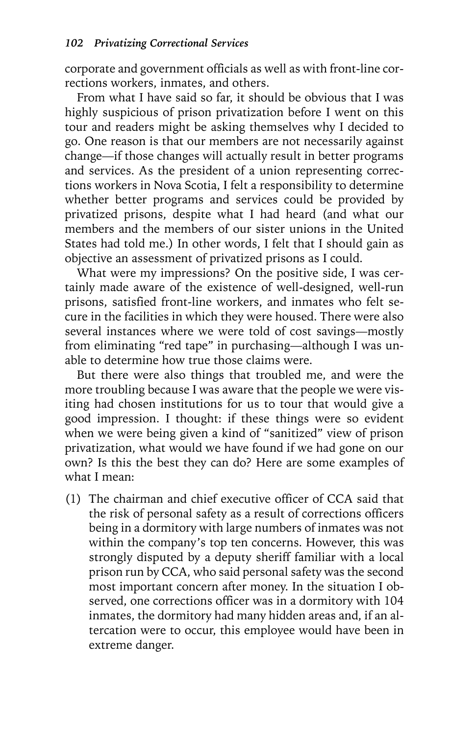corporate and government officials as well as with front-line corrections workers, inmates, and others.

From what I have said so far, it should be obvious that I was highly suspicious of prison privatization before I went on this tour and readers might be asking themselves why I decided to go. One reason is that our members are not necessarily against change—if those changes will actually result in better programs and services. As the president of a union representing corrections workers in Nova Scotia, I felt a responsibility to determine whether better programs and services could be provided by privatized prisons, despite what I had heard (and what our members and the members of our sister unions in the United States had told me.) In other words, I felt that I should gain as objective an assessment of privatized prisons as I could.

What were my impressions? On the positive side, I was certainly made aware of the existence of well-designed, well-run prisons, satisfied front-line workers, and inmates who felt secure in the facilities in which they were housed. There were also several instances where we were told of cost savings—mostly from eliminating "red tape" in purchasing—although I was unable to determine how true those claims were.

But there were also things that troubled me, and were the more troubling because I was aware that the people we were visiting had chosen institutions for us to tour that would give a good impression. I thought: if these things were so evident when we were being given a kind of "sanitized" view of prison privatization, what would we have found if we had gone on our own? Is this the best they can do? Here are some examples of what I mean:

(1) The chairman and chief executive officer of CCA said that the risk of personal safety as a result of corrections officers being in a dormitory with large numbers of inmates was not within the company's top ten concerns. However, this was strongly disputed by a deputy sheriff familiar with a local prison run by CCA, who said personal safety was the second most important concern after money. In the situation I observed, one corrections officer was in a dormitory with 104 inmates, the dormitory had many hidden areas and, if an altercation were to occur, this employee would have been in extreme danger.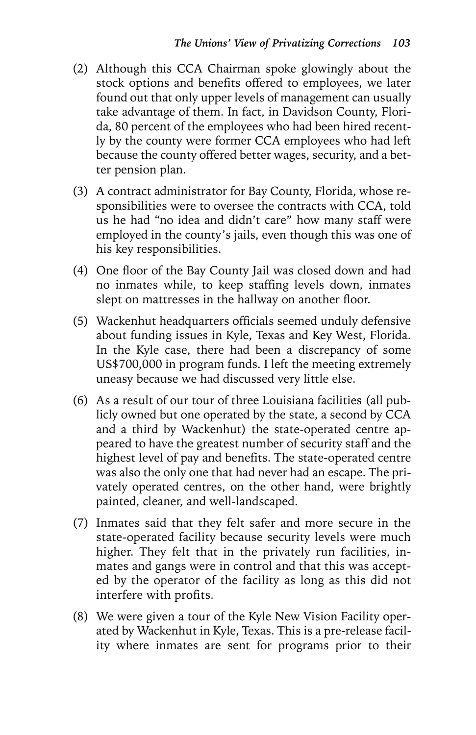- (2) Although this CCA Chairman spoke glowingly about the stock options and benefits offered to employees, we later found out that only upper levels of management can usually take advantage of them. In fact, in Davidson County, Florida, 80 percent of the employees who had been hired recently by the county were former CCA employees who had left because the county offered better wages, security, and a better pension plan.
- (3) A contract administrator for Bay County, Florida, whose responsibilities were to oversee the contracts with CCA, told us he had "no idea and didn't care" how many staff were employed in the county's jails, even though this was one of his key responsibilities.
- (4) One floor of the Bay County Jail was closed down and had no inmates while, to keep staffing levels down, inmates slept on mattresses in the hallway on another floor.
- (5) Wackenhut headquarters officials seemed unduly defensive about funding issues in Kyle, Texas and Key West, Florida. In the Kyle case, there had been a discrepancy of some US\$700,000 in program funds. I left the meeting extremely uneasy because we had discussed very little else.
- (6) As a result of our tour of three Louisiana facilities (all publicly owned but one operated by the state, a second by CCA and a third by Wackenhut) the state-operated centre appeared to have the greatest number of security staff and the highest level of pay and benefits. The state-operated centre was also the only one that had never had an escape. The privately operated centres, on the other hand, were brightly painted, cleaner, and well-landscaped.
- (7) Inmates said that they felt safer and more secure in the state-operated facility because security levels were much higher. They felt that in the privately run facilities, inmates and gangs were in control and that this was accepted by the operator of the facility as long as this did not interfere with profits.
- (8) We were given a tour of the Kyle New Vision Facility operated by Wackenhut in Kyle, Texas. This is a pre-release facility where inmates are sent for programs prior to their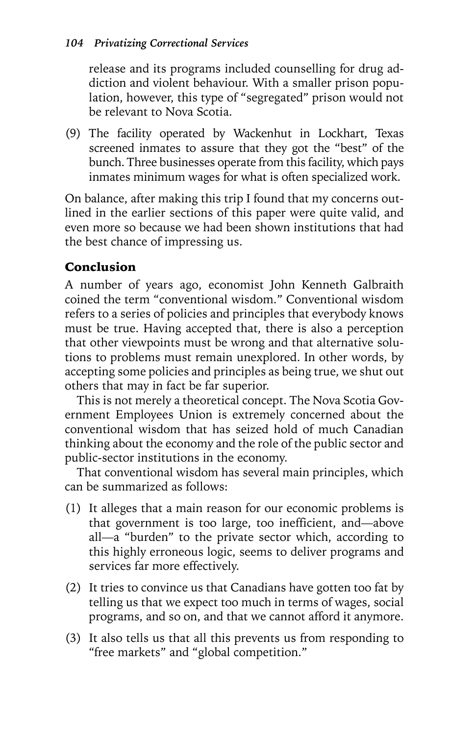release and its programs included counselling for drug addiction and violent behaviour. With a smaller prison population, however, this type of "segregated" prison would not be relevant to Nova Scotia.

(9) The facility operated by Wackenhut in Lockhart, Texas screened inmates to assure that they got the "best" of the bunch. Three businesses operate from this facility, which pays inmates minimum wages for what is often specialized work.

On balance, after making this trip I found that my concerns outlined in the earlier sections of this paper were quite valid, and even more so because we had been shown institutions that had the best chance of impressing us.

### Conclusion

A number of years ago, economist John Kenneth Galbraith coined the term "conventional wisdom." Conventional wisdom refers to a series of policies and principles that everybody knows must be true. Having accepted that, there is also a perception that other viewpoints must be wrong and that alternative solutions to problems must remain unexplored. In other words, by accepting some policies and principles as being true, we shut out others that may in fact be far superior.

This is not merely a theoretical concept. The Nova Scotia Government Employees Union is extremely concerned about the conventional wisdom that has seized hold of much Canadian thinking about the economy and the role of the public sector and public-sector institutions in the economy.

That conventional wisdom has several main principles, which can be summarized as follows:

- (1) It alleges that a main reason for our economic problems is that government is too large, too inefficient, and—above all—a "burden" to the private sector which, according to this highly erroneous logic, seems to deliver programs and services far more effectively.
- (2) It tries to convince us that Canadians have gotten too fat by telling us that we expect too much in terms of wages, social programs, and so on, and that we cannot afford it anymore.
- (3) It also tells us that all this prevents us from responding to "free markets" and "global competition."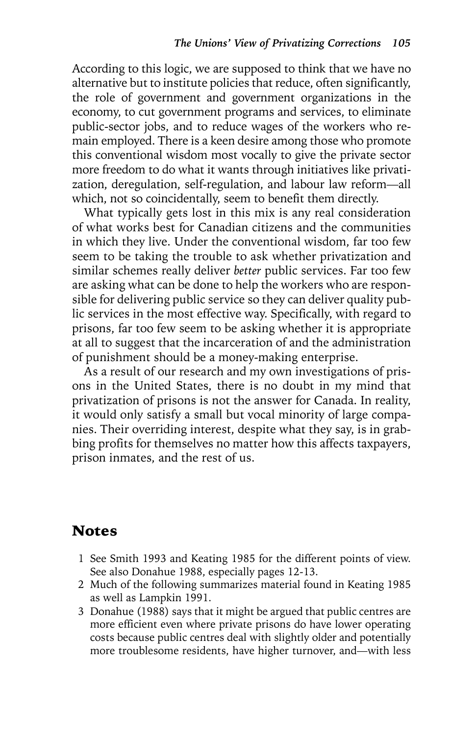According to this logic, we are supposed to think that we have no alternative but to institute policies that reduce, often significantly, the role of government and government organizations in the economy, to cut government programs and services, to eliminate public-sector jobs, and to reduce wages of the workers who remain employed. There is a keen desire among those who promote this conventional wisdom most vocally to give the private sector more freedom to do what it wants through initiatives like privatization, deregulation, self-regulation, and labour law reform—all which, not so coincidentally, seem to benefit them directly.

What typically gets lost in this mix is any real consideration of what works best for Canadian citizens and the communities in which they live. Under the conventional wisdom, far too few seem to be taking the trouble to ask whether privatization and similar schemes really deliver *better* public services. Far too few are asking what can be done to help the workers who are responsible for delivering public service so they can deliver quality public services in the most effective way. Specifically, with regard to prisons, far too few seem to be asking whether it is appropriate at all to suggest that the incarceration of and the administration of punishment should be a money-making enterprise.

As a result of our research and my own investigations of prisons in the United States, there is no doubt in my mind that privatization of prisons is not the answer for Canada. In reality, it would only satisfy a small but vocal minority of large companies. Their overriding interest, despite what they say, is in grabbing profits for themselves no matter how this affects taxpayers, prison inmates, and the rest of us.

#### Notes

- 1 See Smith 1993 and Keating 1985 for the different points of view. See also Donahue 1988, especially pages 12-13.
- 2 Much of the following summarizes material found in Keating 1985 as well as Lampkin 1991.
- 3 Donahue (1988) says that it might be argued that public centres are more efficient even where private prisons do have lower operating costs because public centres deal with slightly older and potentially more troublesome residents, have higher turnover, and—with less